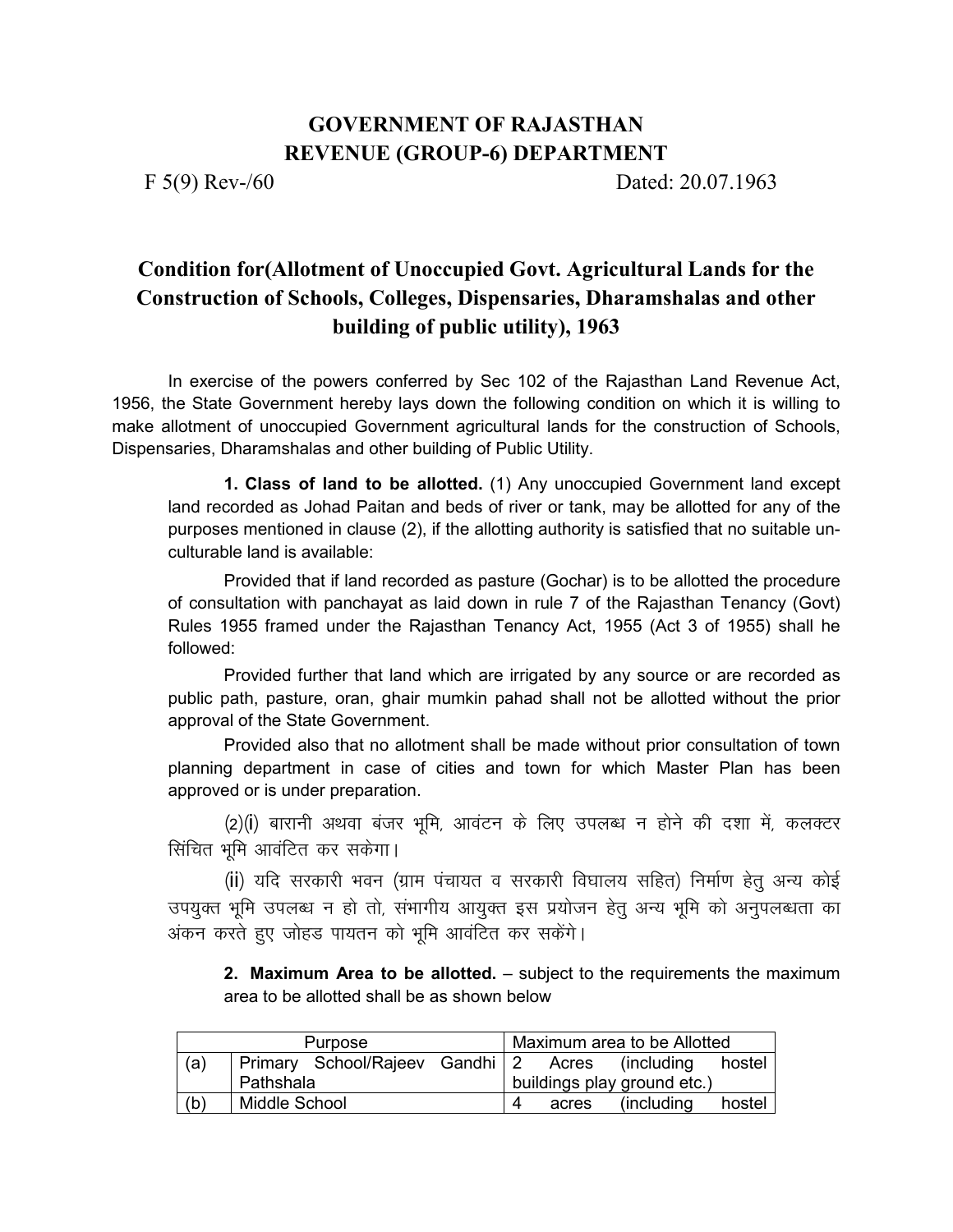## **GOVERNMENT OF RAJASTHAN REVENUE (GROUP-6) DEPARTMENT**

F 5(9) Rev-/60 Dated: 20.07.1963

## **Condition for(Allotment of Unoccupied Govt. Agricultural Lands for the Construction of Schools, Colleges, Dispensaries, Dharamshalas and other building of public utility), 1963**

In exercise of the powers conferred by Sec 102 of the Rajasthan Land Revenue Act, 1956, the State Government hereby lays down the following condition on which it is willing to make allotment of unoccupied Government agricultural lands for the construction of Schools, Dispensaries, Dharamshalas and other building of Public Utility.

**1. Class of land to be allotted.** (1) Any unoccupied Government land except land recorded as Johad Paitan and beds of river or tank, may be allotted for any of the purposes mentioned in clause (2), if the allotting authority is satisfied that no suitable unculturable land is available:

 Provided that if land recorded as pasture (Gochar) is to be allotted the procedure of consultation with panchayat as laid down in rule 7 of the Rajasthan Tenancy (Govt) Rules 1955 framed under the Rajasthan Tenancy Act, 1955 (Act 3 of 1955) shall he followed:

 Provided further that land which are irrigated by any source or are recorded as public path, pasture, oran, ghair mumkin pahad shall not be allotted without the prior approval of the State Government.

 Provided also that no allotment shall be made without prior consultation of town planning department in case of cities and town for which Master Plan has been approved or is under preparation.

(2)(i) बारानी अथवा बंजर भूमि, आवंटन के लिए उपलब्ध न होने की दशा में, कलक्टर सिंचित भमि आवंटित कर सकेगा।

(ii) यदि सरकारी भवन (ग्राम पंचायत व सरकारी विघालय सहित) निर्माण हेतु अन्य कोई उपयुक्त भूमि उपलब्ध न हो तो, संभागीय आयुक्त इस प्रयोजन हेतु अन्य भूमि को अनुपलब्धता का अंकन करते हुए जोहड पायतन को भूमि आवंटित कर सकेंगे।

**2. Maximum Area to be allotted.** – subject to the requirements the maximum area to be allotted shall be as shown below

|     | Purpose                                         |   |       | Maximum area to be Allotted |        |
|-----|-------------------------------------------------|---|-------|-----------------------------|--------|
| (a) | Primary School/Rajeev Gandhi 2 Acres (including |   |       |                             | hostel |
|     | Pathshala                                       |   |       | buildings play ground etc.) |        |
| (b) | Middle School                                   | 4 | acres | (including)                 | hostel |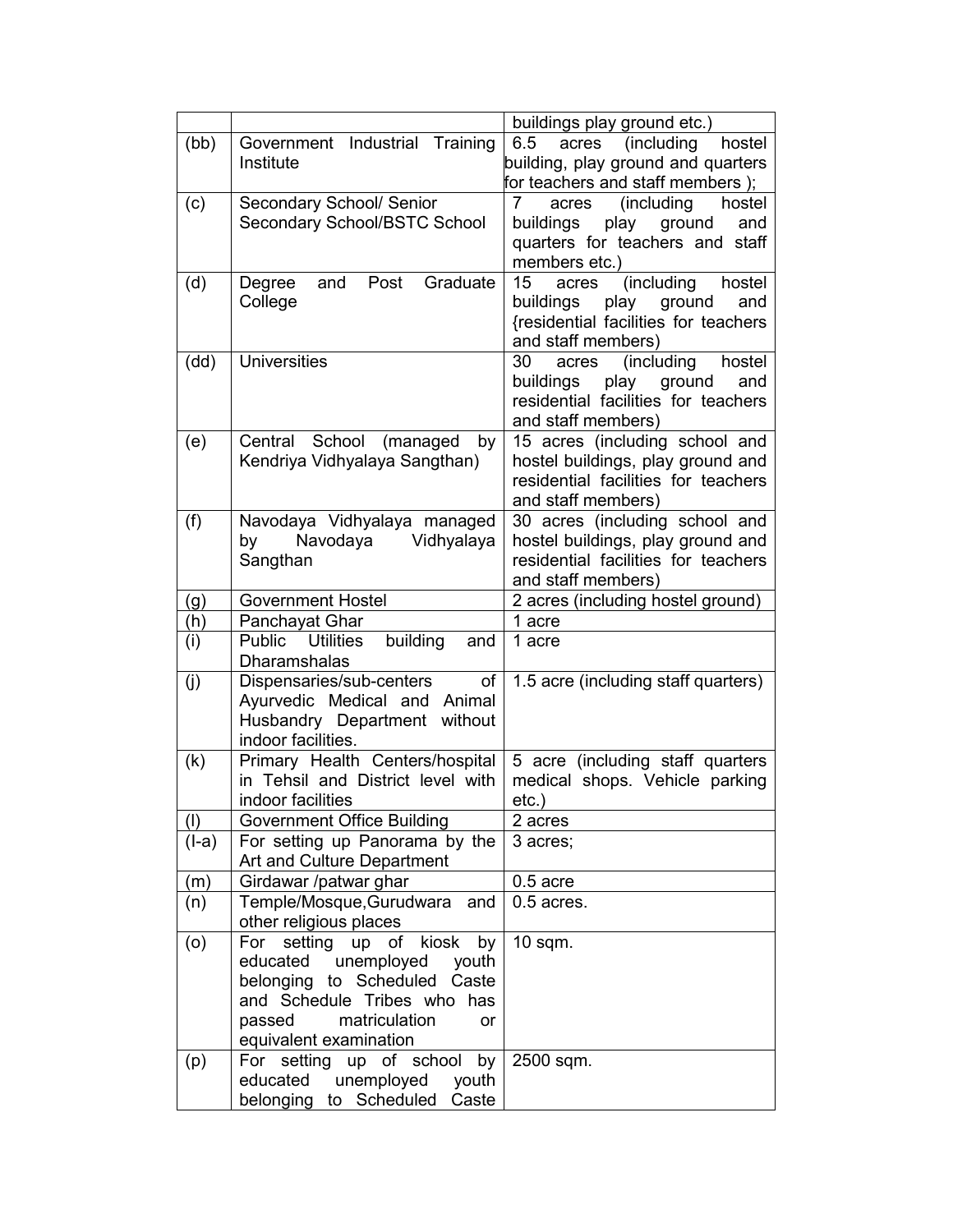|       |                                                            | buildings play ground etc.)          |  |
|-------|------------------------------------------------------------|--------------------------------------|--|
| (bb)  | Government Industrial Training                             | (including<br>hostel<br>6.5<br>acres |  |
|       | Institute                                                  | building, play ground and quarters   |  |
|       |                                                            | for teachers and staff members);     |  |
| (c)   | Secondary School/ Senior                                   | (including<br>hostel<br>7<br>acres   |  |
|       | Secondary School/BSTC School                               | play ground<br>buildings<br>and      |  |
|       |                                                            | quarters for teachers and staff      |  |
|       |                                                            | members etc.)                        |  |
| (d)   | Graduate<br>Degree<br>and<br>Post                          | (including<br>hostel<br>15<br>acres  |  |
|       | College                                                    | play ground<br>buildings<br>and      |  |
|       |                                                            | {residential facilities for teachers |  |
|       |                                                            | and staff members)                   |  |
| (dd)  | <b>Universities</b>                                        | (including<br>hostel<br>30<br>acres  |  |
|       |                                                            | play<br>ground<br>and<br>buildings   |  |
|       |                                                            | residential facilities for teachers  |  |
|       |                                                            | and staff members)                   |  |
| (e)   | Central School (managed<br>by                              | 15 acres (including school and       |  |
|       | Kendriya Vidhyalaya Sangthan)                              | hostel buildings, play ground and    |  |
|       |                                                            | residential facilities for teachers  |  |
|       |                                                            | and staff members)                   |  |
| (f)   | Navodaya Vidhyalaya managed                                | 30 acres (including school and       |  |
|       | Navodaya<br>Vidhyalaya<br>by                               | hostel buildings, play ground and    |  |
|       | Sangthan                                                   | residential facilities for teachers  |  |
|       |                                                            | and staff members)                   |  |
| (g)   | <b>Government Hostel</b>                                   | 2 acres (including hostel ground)    |  |
| (h)   | Panchayat Ghar                                             | 1 acre                               |  |
| (i)   | Public Utilities<br>building<br>and<br><b>Dharamshalas</b> | 1 acre                               |  |
| (j)   | Dispensaries/sub-centers<br>of                             | 1.5 acre (including staff quarters)  |  |
|       | Ayurvedic Medical and Animal                               |                                      |  |
|       | Husbandry Department<br>without                            |                                      |  |
|       | indoor facilities.                                         |                                      |  |
| (k)   | Primary Health Centers/hospital                            | 5 acre (including staff quarters     |  |
|       | in Tehsil and District level with                          | medical shops. Vehicle parking       |  |
|       | indoor facilities                                          | $etc.$ )                             |  |
| (1)   | Government Office Building                                 | 2 acres                              |  |
| (I-a) | For setting up Panorama by the                             | 3 acres;                             |  |
|       | Art and Culture Department                                 |                                      |  |
| (m)   | Girdawar /patwar ghar                                      | $0.5$ acre                           |  |
| (n)   | Temple/Mosque, Gurudwara<br>and                            | $0.5$ acres.                         |  |
|       | other religious places                                     |                                      |  |
| (0)   | setting<br>kiosk<br>For<br>up of<br>by                     | $10$ sqm.                            |  |
|       | educated<br>unemployed<br>youth                            |                                      |  |
|       | belonging to Scheduled Caste                               |                                      |  |
|       | and Schedule Tribes who<br>has                             |                                      |  |
|       | matriculation<br>passed<br>or                              |                                      |  |
|       | equivalent examination                                     |                                      |  |
| (p)   | For setting up of school<br>by                             | 2500 sqm.                            |  |
|       | educated<br>unemployed<br>youth                            |                                      |  |
|       | belonging to Scheduled<br>Caste                            |                                      |  |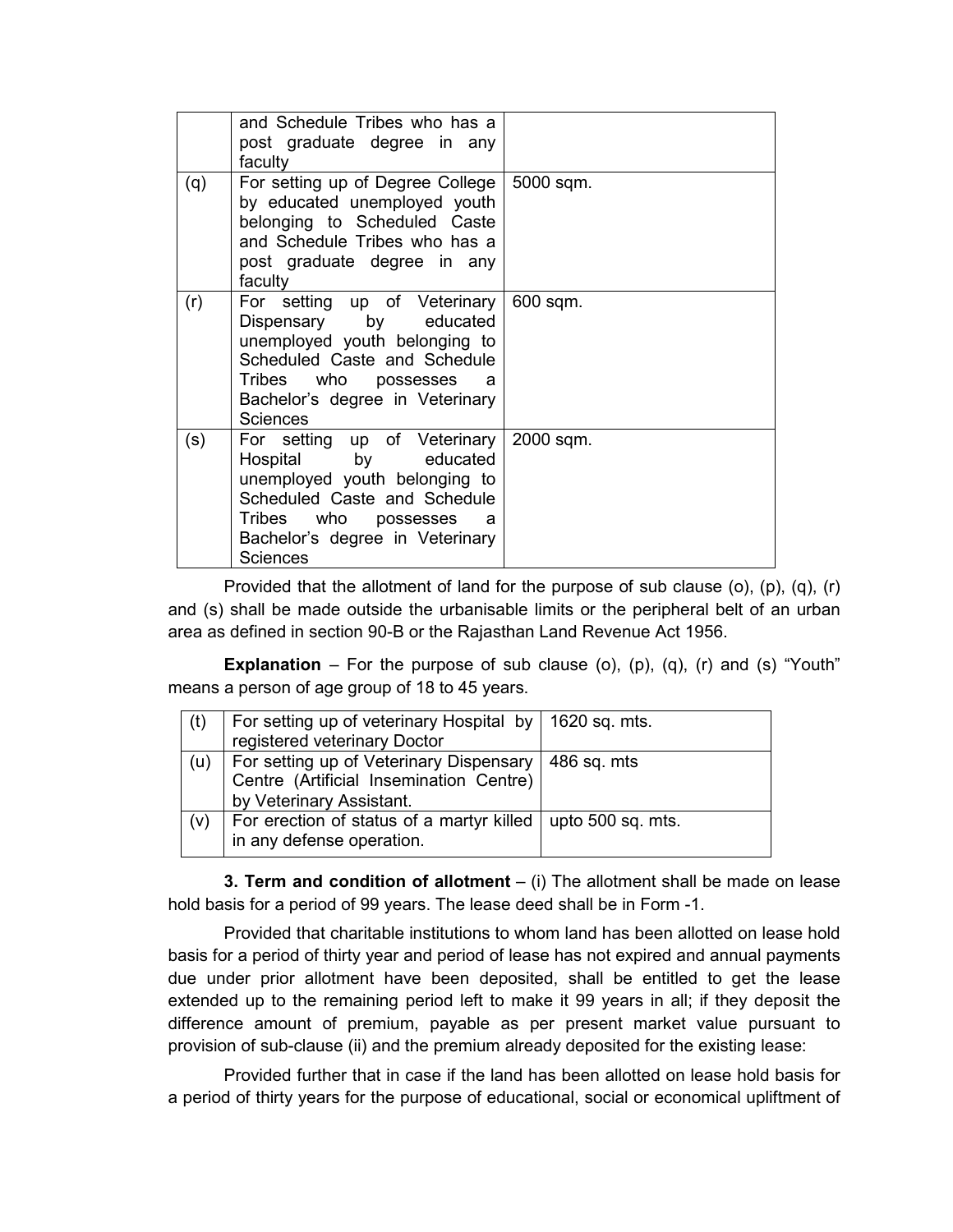|     | and Schedule Tribes who has a<br>post graduate degree in any<br>faculty                                                                                                                                  |           |
|-----|----------------------------------------------------------------------------------------------------------------------------------------------------------------------------------------------------------|-----------|
| (q) | For setting up of Degree College<br>by educated unemployed youth<br>belonging to Scheduled Caste<br>and Schedule Tribes who has a<br>post graduate degree in any<br>faculty                              | 5000 sqm. |
| (r) | For setting up of Veterinary<br>Dispensary by educated<br>unemployed youth belonging to<br>Scheduled Caste and Schedule<br>Tribes who possesses a<br>Bachelor's degree in Veterinary<br><b>Sciences</b>  | 600 sqm.  |
| (s) | For setting up of Veterinary<br>Hospital by educated<br>unemployed youth belonging to<br>Scheduled Caste and Schedule<br>Tribes who possesses<br>a<br>Bachelor's degree in Veterinary<br><b>Sciences</b> | 2000 sqm. |

Provided that the allotment of land for the purpose of sub clause (o), (p), (q), (r) and (s) shall be made outside the urbanisable limits or the peripheral belt of an urban area as defined in section 90-B or the Rajasthan Land Revenue Act 1956.

**Explanation** – For the purpose of sub clause (o), (p), (q), (r) and (s) "Youth" means a person of age group of 18 to 45 years.

| (t) | For setting up of veterinary Hospital by   1620 sq. mts.      |             |
|-----|---------------------------------------------------------------|-------------|
|     | registered veterinary Doctor                                  |             |
| (u) | For setting up of Veterinary Dispensary                       | 486 sq. mts |
|     | Centre (Artificial Insemination Centre)                       |             |
|     | by Veterinary Assistant.                                      |             |
| (v) | For erection of status of a martyr killed   upto 500 sq. mts. |             |
|     | in any defense operation.                                     |             |

**3. Term and condition of allotment** – (i) The allotment shall be made on lease hold basis for a period of 99 years. The lease deed shall be in Form -1.

Provided that charitable institutions to whom land has been allotted on lease hold basis for a period of thirty year and period of lease has not expired and annual payments due under prior allotment have been deposited, shall be entitled to get the lease extended up to the remaining period left to make it 99 years in all; if they deposit the difference amount of premium, payable as per present market value pursuant to provision of sub-clause (ii) and the premium already deposited for the existing lease:

Provided further that in case if the land has been allotted on lease hold basis for a period of thirty years for the purpose of educational, social or economical upliftment of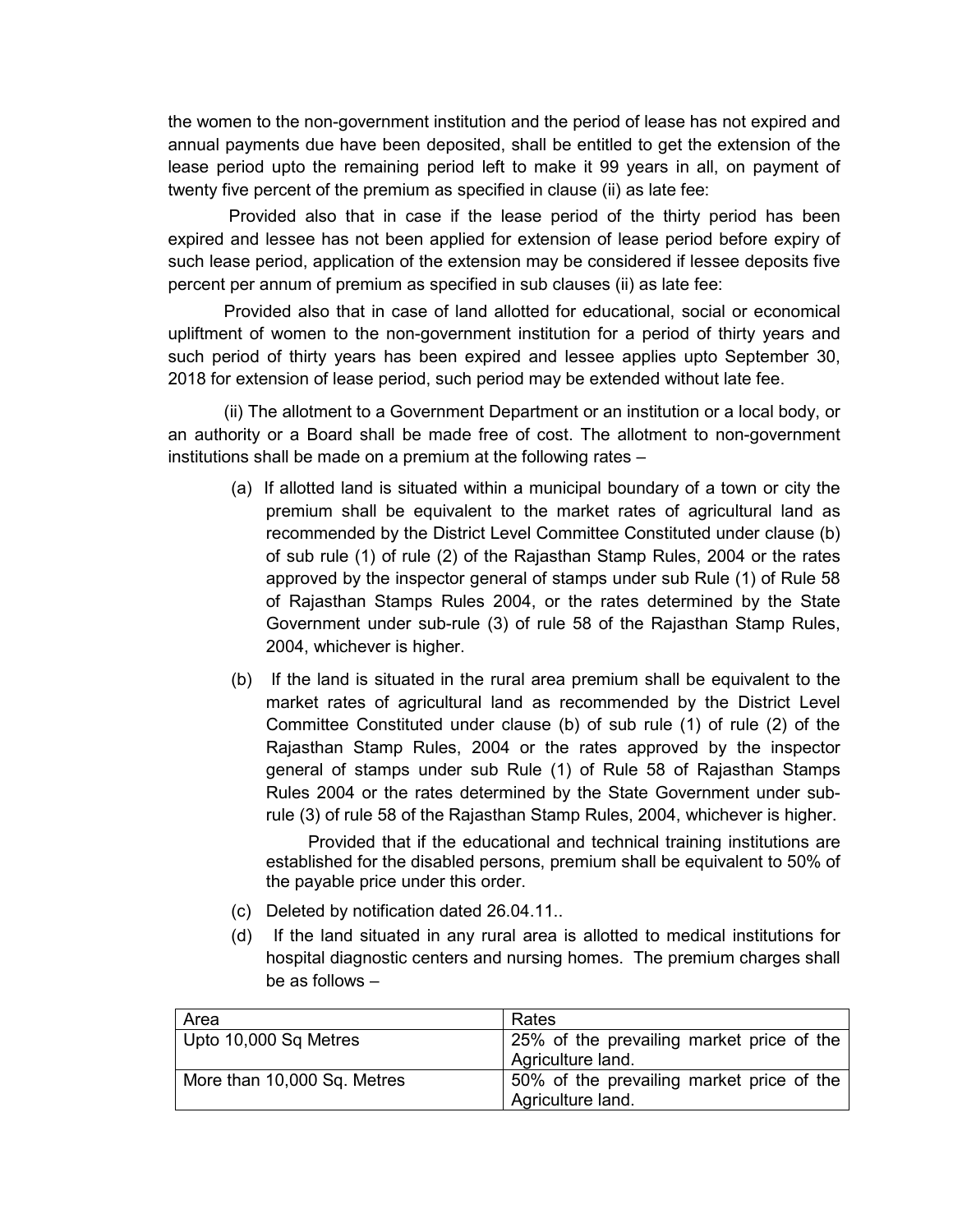the women to the non-government institution and the period of lease has not expired and annual payments due have been deposited, shall be entitled to get the extension of the lease period upto the remaining period left to make it 99 years in all, on payment of twenty five percent of the premium as specified in clause (ii) as late fee:

 Provided also that in case if the lease period of the thirty period has been expired and lessee has not been applied for extension of lease period before expiry of such lease period, application of the extension may be considered if lessee deposits five percent per annum of premium as specified in sub clauses (ii) as late fee:

Provided also that in case of land allotted for educational, social or economical upliftment of women to the non-government institution for a period of thirty years and such period of thirty years has been expired and lessee applies upto September 30, 2018 for extension of lease period, such period may be extended without late fee.

(ii) The allotment to a Government Department or an institution or a local body, or an authority or a Board shall be made free of cost. The allotment to non-government institutions shall be made on a premium at the following rates –

- (a) If allotted land is situated within a municipal boundary of a town or city the premium shall be equivalent to the market rates of agricultural land as recommended by the District Level Committee Constituted under clause (b) of sub rule (1) of rule (2) of the Rajasthan Stamp Rules, 2004 or the rates approved by the inspector general of stamps under sub Rule (1) of Rule 58 of Rajasthan Stamps Rules 2004, or the rates determined by the State Government under sub-rule (3) of rule 58 of the Rajasthan Stamp Rules, 2004, whichever is higher.
- (b) If the land is situated in the rural area premium shall be equivalent to the market rates of agricultural land as recommended by the District Level Committee Constituted under clause (b) of sub rule (1) of rule (2) of the Rajasthan Stamp Rules, 2004 or the rates approved by the inspector general of stamps under sub Rule (1) of Rule 58 of Rajasthan Stamps Rules 2004 or the rates determined by the State Government under subrule (3) of rule 58 of the Rajasthan Stamp Rules, 2004, whichever is higher.

Provided that if the educational and technical training institutions are established for the disabled persons, premium shall be equivalent to 50% of the payable price under this order.

- (c) Deleted by notification dated 26.04.11..
- (d) If the land situated in any rural area is allotted to medical institutions for hospital diagnostic centers and nursing homes. The premium charges shall be as follows –

| Area                        | Rates                                     |
|-----------------------------|-------------------------------------------|
| Upto 10,000 Sq Metres       | 25% of the prevailing market price of the |
|                             | Agriculture land.                         |
| More than 10,000 Sq. Metres | 50% of the prevailing market price of the |
|                             | Agriculture land.                         |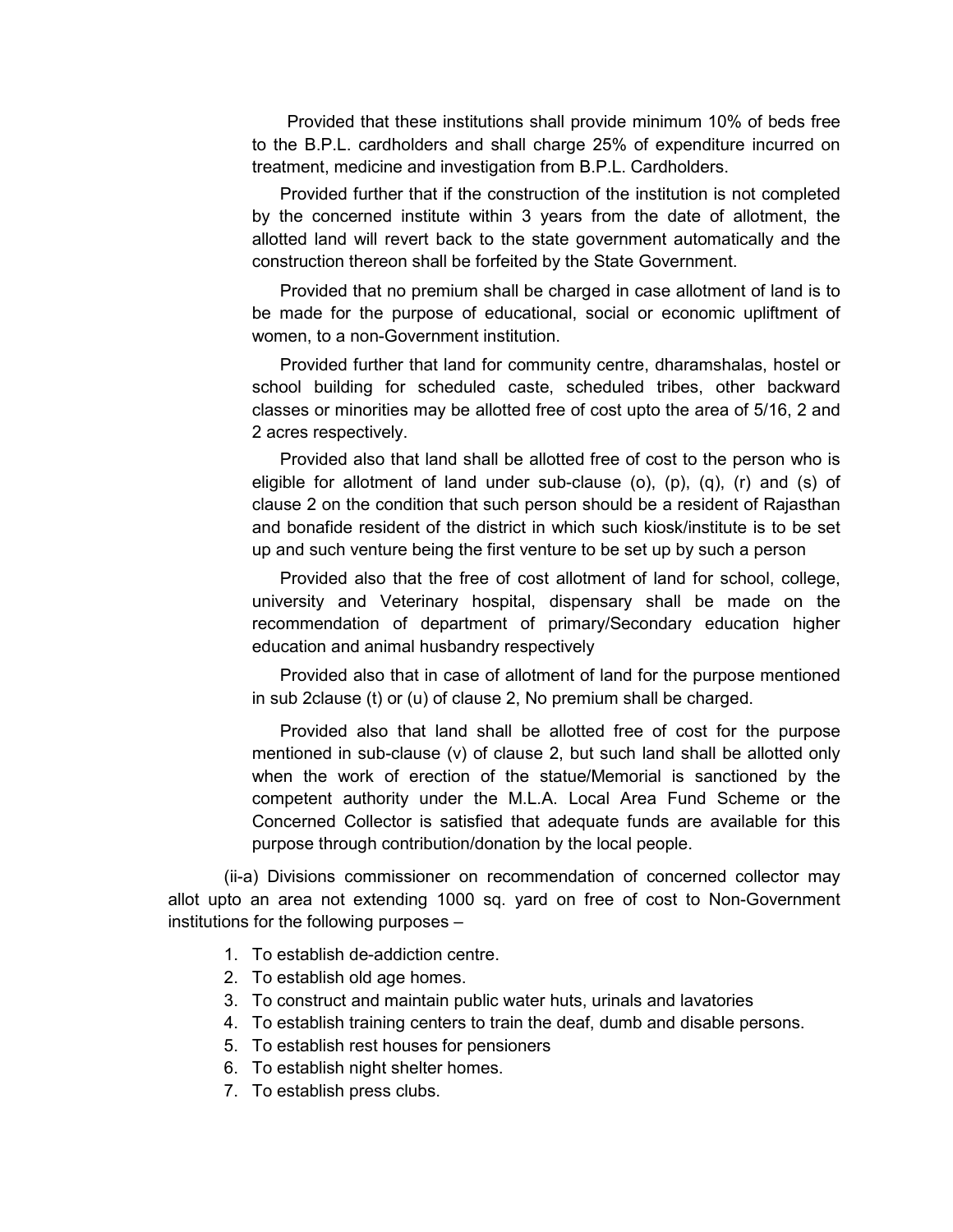Provided that these institutions shall provide minimum 10% of beds free to the B.P.L. cardholders and shall charge 25% of expenditure incurred on treatment, medicine and investigation from B.P.L. Cardholders.

Provided further that if the construction of the institution is not completed by the concerned institute within 3 years from the date of allotment, the allotted land will revert back to the state government automatically and the construction thereon shall be forfeited by the State Government.

Provided that no premium shall be charged in case allotment of land is to be made for the purpose of educational, social or economic upliftment of women, to a non-Government institution.

Provided further that land for community centre, dharamshalas, hostel or school building for scheduled caste, scheduled tribes, other backward classes or minorities may be allotted free of cost upto the area of 5/16, 2 and 2 acres respectively.

Provided also that land shall be allotted free of cost to the person who is eligible for allotment of land under sub-clause (o), (p), (q), (r) and (s) of clause 2 on the condition that such person should be a resident of Rajasthan and bonafide resident of the district in which such kiosk/institute is to be set up and such venture being the first venture to be set up by such a person

Provided also that the free of cost allotment of land for school, college, university and Veterinary hospital, dispensary shall be made on the recommendation of department of primary/Secondary education higher education and animal husbandry respectively

Provided also that in case of allotment of land for the purpose mentioned in sub 2clause (t) or (u) of clause 2, No premium shall be charged.

Provided also that land shall be allotted free of cost for the purpose mentioned in sub-clause (v) of clause 2, but such land shall be allotted only when the work of erection of the statue/Memorial is sanctioned by the competent authority under the M.L.A. Local Area Fund Scheme or the Concerned Collector is satisfied that adequate funds are available for this purpose through contribution/donation by the local people.

(ii-a) Divisions commissioner on recommendation of concerned collector may allot upto an area not extending 1000 sq. yard on free of cost to Non-Government institutions for the following purposes –

- 1. To establish de-addiction centre.
- 2. To establish old age homes.
- 3. To construct and maintain public water huts, urinals and lavatories
- 4. To establish training centers to train the deaf, dumb and disable persons.
- 5. To establish rest houses for pensioners
- 6. To establish night shelter homes.
- 7. To establish press clubs.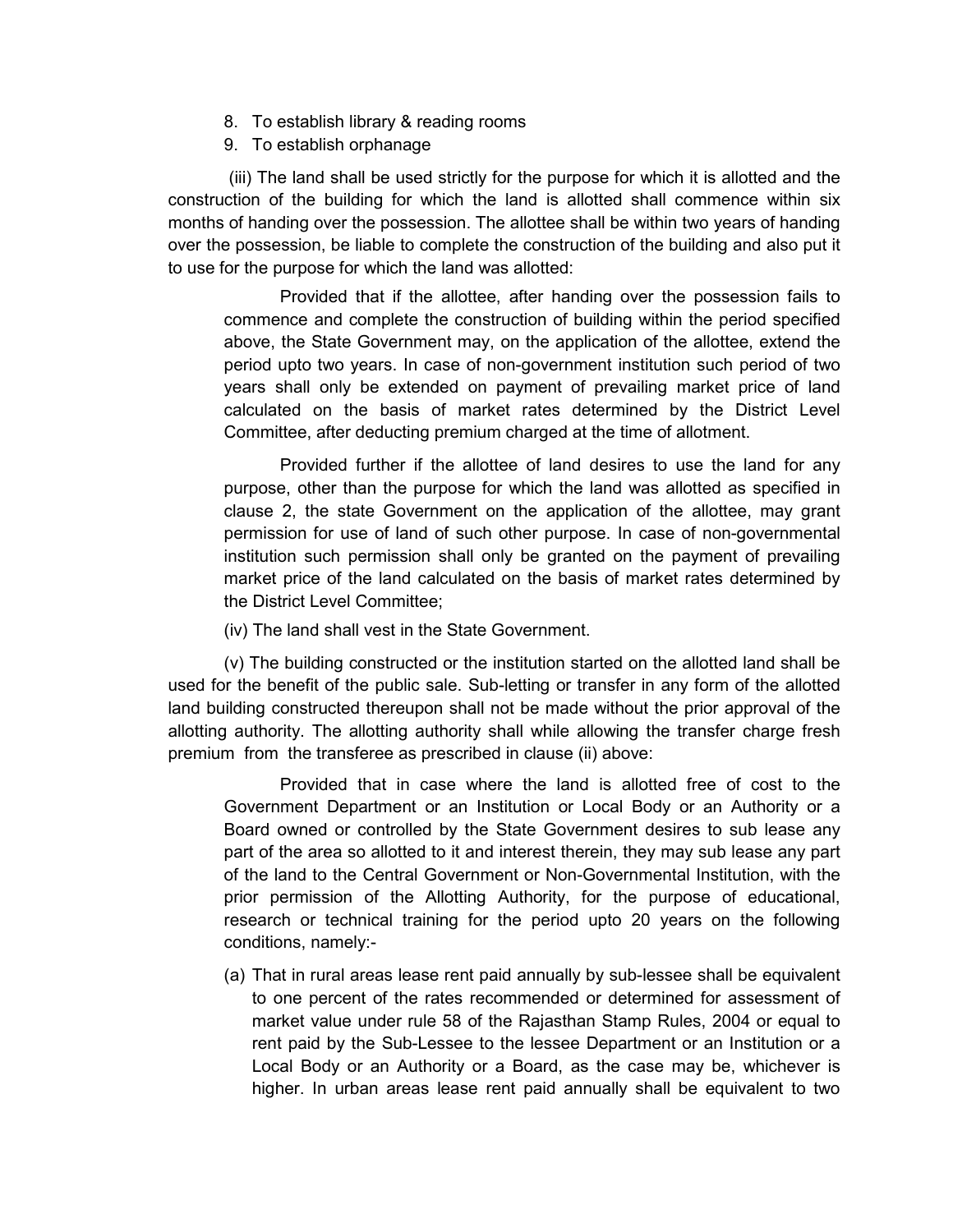- 8. To establish library & reading rooms
- 9. To establish orphanage

 (iii) The land shall be used strictly for the purpose for which it is allotted and the construction of the building for which the land is allotted shall commence within six months of handing over the possession. The allottee shall be within two years of handing over the possession, be liable to complete the construction of the building and also put it to use for the purpose for which the land was allotted:

Provided that if the allottee, after handing over the possession fails to commence and complete the construction of building within the period specified above, the State Government may, on the application of the allottee, extend the period upto two years. In case of non-government institution such period of two years shall only be extended on payment of prevailing market price of land calculated on the basis of market rates determined by the District Level Committee, after deducting premium charged at the time of allotment.

Provided further if the allottee of land desires to use the land for any purpose, other than the purpose for which the land was allotted as specified in clause 2, the state Government on the application of the allottee, may grant permission for use of land of such other purpose. In case of non-governmental institution such permission shall only be granted on the payment of prevailing market price of the land calculated on the basis of market rates determined by the District Level Committee;

(iv) The land shall vest in the State Government.

(v) The building constructed or the institution started on the allotted land shall be used for the benefit of the public sale. Sub-letting or transfer in any form of the allotted land building constructed thereupon shall not be made without the prior approval of the allotting authority. The allotting authority shall while allowing the transfer charge fresh premium from the transferee as prescribed in clause (ii) above:

Provided that in case where the land is allotted free of cost to the Government Department or an Institution or Local Body or an Authority or a Board owned or controlled by the State Government desires to sub lease any part of the area so allotted to it and interest therein, they may sub lease any part of the land to the Central Government or Non-Governmental Institution, with the prior permission of the Allotting Authority, for the purpose of educational, research or technical training for the period upto 20 years on the following conditions, namely:-

(a) That in rural areas lease rent paid annually by sub-lessee shall be equivalent to one percent of the rates recommended or determined for assessment of market value under rule 58 of the Rajasthan Stamp Rules, 2004 or equal to rent paid by the Sub-Lessee to the lessee Department or an Institution or a Local Body or an Authority or a Board, as the case may be, whichever is higher. In urban areas lease rent paid annually shall be equivalent to two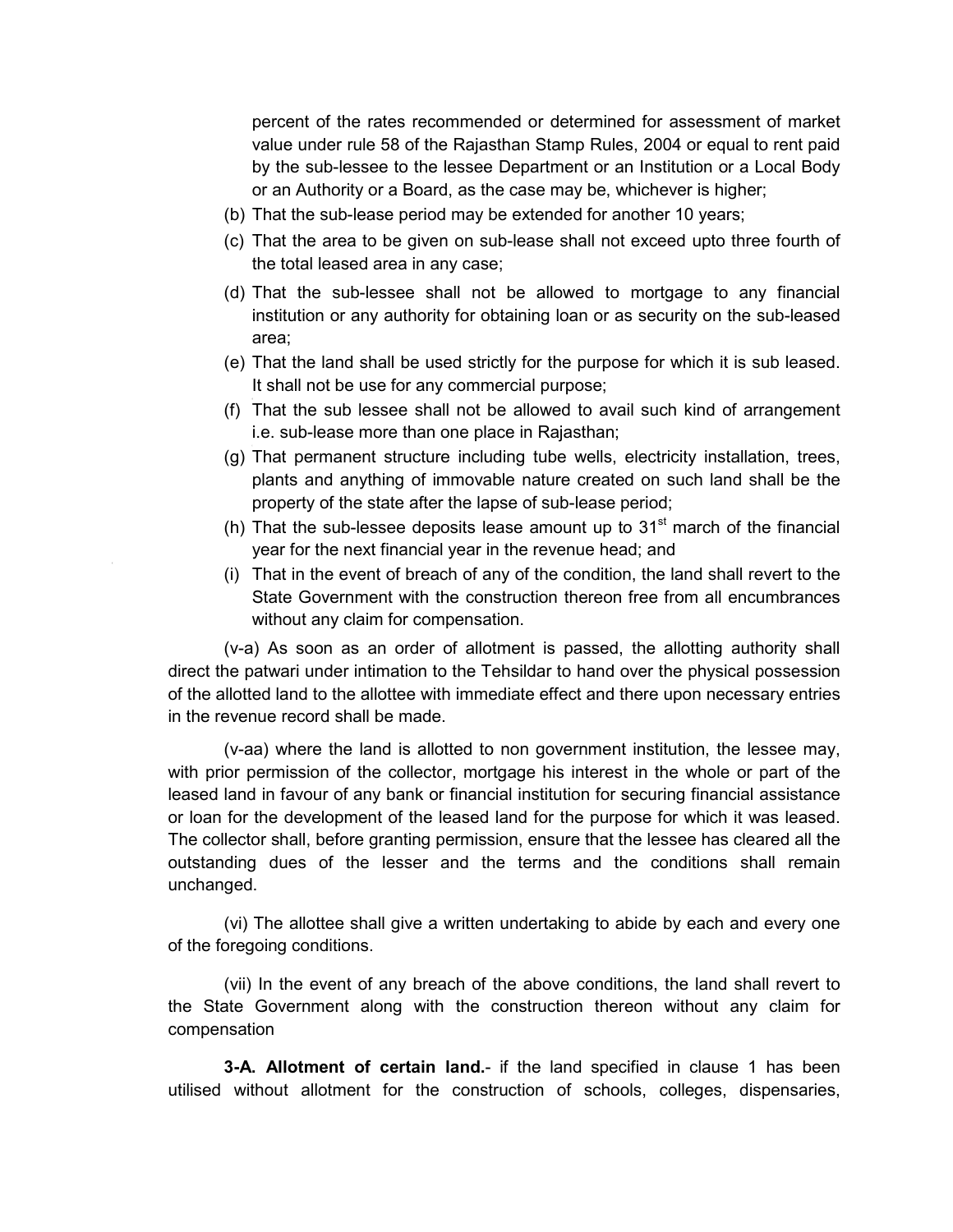percent of the rates recommended or determined for assessment of market value under rule 58 of the Rajasthan Stamp Rules, 2004 or equal to rent paid by the sub-lessee to the lessee Department or an Institution or a Local Body or an Authority or a Board, as the case may be, whichever is higher;

- (b) That the sub-lease period may be extended for another 10 years;
- (c) That the area to be given on sub-lease shall not exceed upto three fourth of the total leased area in any case;
- (d) That the sub-lessee shall not be allowed to mortgage to any financial institution or any authority for obtaining loan or as security on the sub-leased area;
- (e) That the land shall be used strictly for the purpose for which it is sub leased. It shall not be use for any commercial purpose;
- (f) That the sub lessee shall not be allowed to avail such kind of arrangement i.e. sub-lease more than one place in Rajasthan;
- (g) That permanent structure including tube wells, electricity installation, trees, plants and anything of immovable nature created on such land shall be the property of the state after the lapse of sub-lease period;
- (h) That the sub-lessee deposits lease amount up to  $31<sup>st</sup>$  march of the financial year for the next financial year in the revenue head; and
- (i) That in the event of breach of any of the condition, the land shall revert to the State Government with the construction thereon free from all encumbrances without any claim for compensation.

(v-a) As soon as an order of allotment is passed, the allotting authority shall direct the patwari under intimation to the Tehsildar to hand over the physical possession of the allotted land to the allottee with immediate effect and there upon necessary entries in the revenue record shall be made.

(v-aa) where the land is allotted to non government institution, the lessee may, with prior permission of the collector, mortgage his interest in the whole or part of the leased land in favour of any bank or financial institution for securing financial assistance or loan for the development of the leased land for the purpose for which it was leased. The collector shall, before granting permission, ensure that the lessee has cleared all the outstanding dues of the lesser and the terms and the conditions shall remain unchanged.

(vi) The allottee shall give a written undertaking to abide by each and every one of the foregoing conditions.

(vii) In the event of any breach of the above conditions, the land shall revert to the State Government along with the construction thereon without any claim for compensation

**3-A. Allotment of certain land.**- if the land specified in clause 1 has been utilised without allotment for the construction of schools, colleges, dispensaries,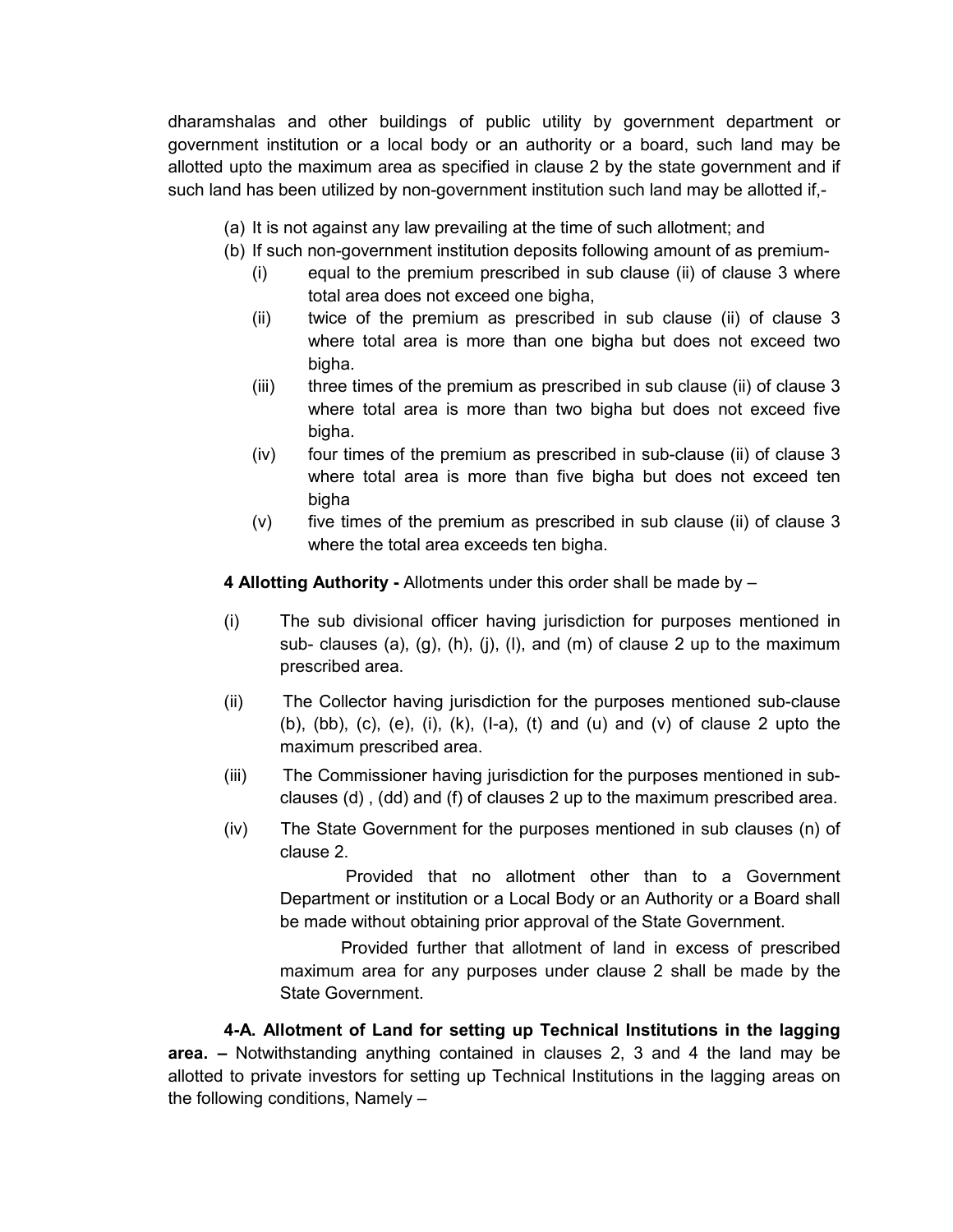dharamshalas and other buildings of public utility by government department or government institution or a local body or an authority or a board, such land may be allotted upto the maximum area as specified in clause 2 by the state government and if such land has been utilized by non-government institution such land may be allotted if,-

- (a) It is not against any law prevailing at the time of such allotment; and
- (b) If such non-government institution deposits following amount of as premium-
	- (i) equal to the premium prescribed in sub clause (ii) of clause 3 where total area does not exceed one bigha,
	- (ii) twice of the premium as prescribed in sub clause (ii) of clause 3 where total area is more than one bigha but does not exceed two bigha.
	- (iii) three times of the premium as prescribed in sub clause (ii) of clause 3 where total area is more than two bigha but does not exceed five bigha.
	- (iv) four times of the premium as prescribed in sub-clause (ii) of clause 3 where total area is more than five bigha but does not exceed ten bigha
	- (v) five times of the premium as prescribed in sub clause (ii) of clause 3 where the total area exceeds ten bigha.

**4 Allotting Authority -** Allotments under this order shall be made by –

- (i) The sub divisional officer having jurisdiction for purposes mentioned in sub- clauses (a), (g), (h), (j), (l), and (m) of clause 2 up to the maximum prescribed area.
- (ii) The Collector having jurisdiction for the purposes mentioned sub-clause (b),  $(b)$ ,  $(c)$ ,  $(e)$ ,  $(i)$ ,  $(k)$ ,  $(l-a)$ ,  $(t)$  and  $(u)$  and  $(v)$  of clause 2 upto the maximum prescribed area.
- (iii) The Commissioner having jurisdiction for the purposes mentioned in subclauses (d) , (dd) and (f) of clauses 2 up to the maximum prescribed area.
- (iv) The State Government for the purposes mentioned in sub clauses (n) of clause 2.

 Provided that no allotment other than to a Government Department or institution or a Local Body or an Authority or a Board shall be made without obtaining prior approval of the State Government.

 Provided further that allotment of land in excess of prescribed maximum area for any purposes under clause 2 shall be made by the State Government.

**4-A. Allotment of Land for setting up Technical Institutions in the lagging area. –** Notwithstanding anything contained in clauses 2, 3 and 4 the land may be allotted to private investors for setting up Technical Institutions in the lagging areas on the following conditions, Namely –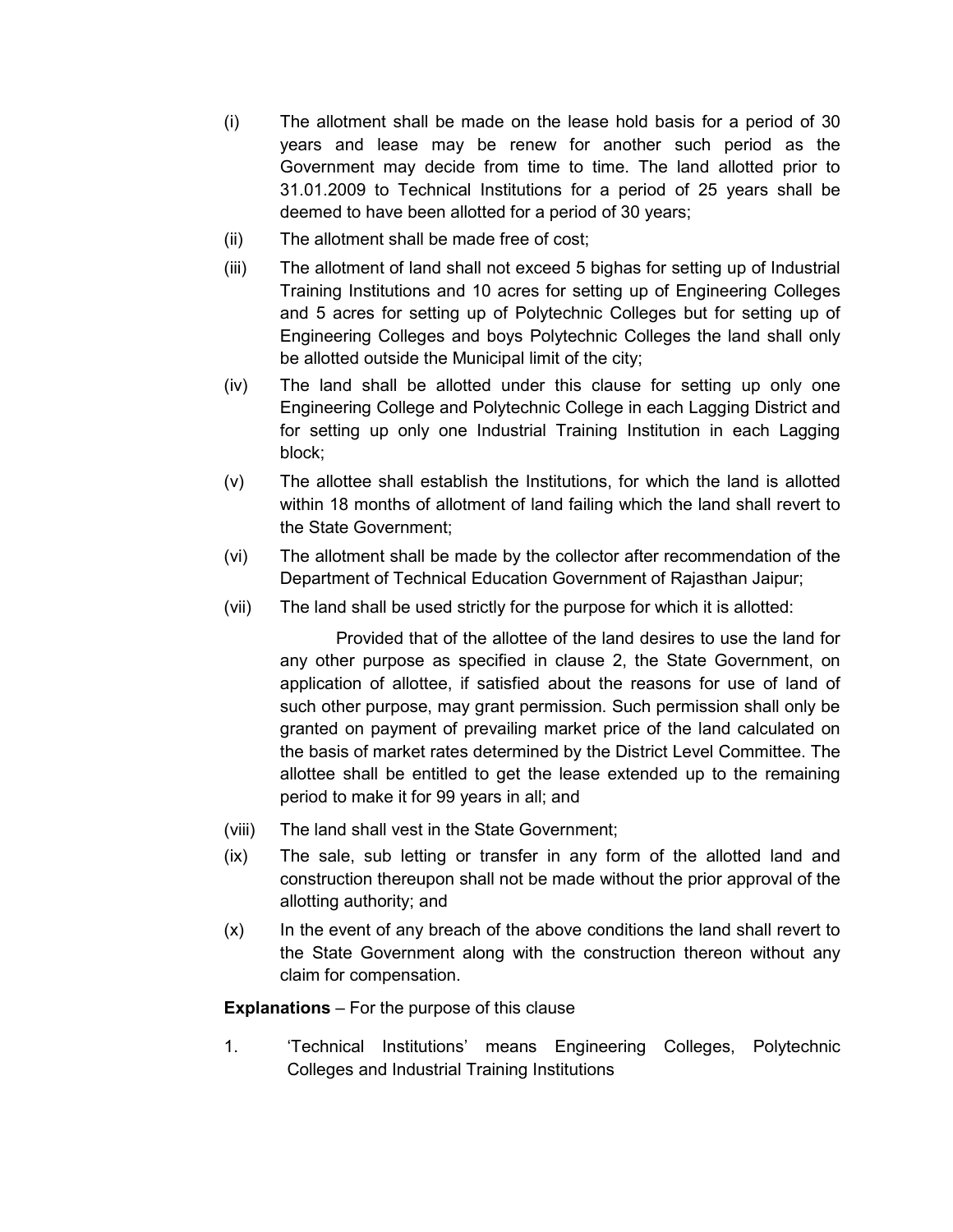- (i) The allotment shall be made on the lease hold basis for a period of 30 years and lease may be renew for another such period as the Government may decide from time to time. The land allotted prior to 31.01.2009 to Technical Institutions for a period of 25 years shall be deemed to have been allotted for a period of 30 years;
- (ii) The allotment shall be made free of cost;
- (iii) The allotment of land shall not exceed 5 bighas for setting up of Industrial Training Institutions and 10 acres for setting up of Engineering Colleges and 5 acres for setting up of Polytechnic Colleges but for setting up of Engineering Colleges and boys Polytechnic Colleges the land shall only be allotted outside the Municipal limit of the city;
- (iv) The land shall be allotted under this clause for setting up only one Engineering College and Polytechnic College in each Lagging District and for setting up only one Industrial Training Institution in each Lagging block;
- (v) The allottee shall establish the Institutions, for which the land is allotted within 18 months of allotment of land failing which the land shall revert to the State Government;
- (vi) The allotment shall be made by the collector after recommendation of the Department of Technical Education Government of Rajasthan Jaipur;
- (vii) The land shall be used strictly for the purpose for which it is allotted:

Provided that of the allottee of the land desires to use the land for any other purpose as specified in clause 2, the State Government, on application of allottee, if satisfied about the reasons for use of land of such other purpose, may grant permission. Such permission shall only be granted on payment of prevailing market price of the land calculated on the basis of market rates determined by the District Level Committee. The allottee shall be entitled to get the lease extended up to the remaining period to make it for 99 years in all; and

- (viii) The land shall vest in the State Government;
- (ix) The sale, sub letting or transfer in any form of the allotted land and construction thereupon shall not be made without the prior approval of the allotting authority; and
- (x) In the event of any breach of the above conditions the land shall revert to the State Government along with the construction thereon without any claim for compensation.

**Explanations** – For the purpose of this clause

1. 'Technical Institutions' means Engineering Colleges, Polytechnic Colleges and Industrial Training Institutions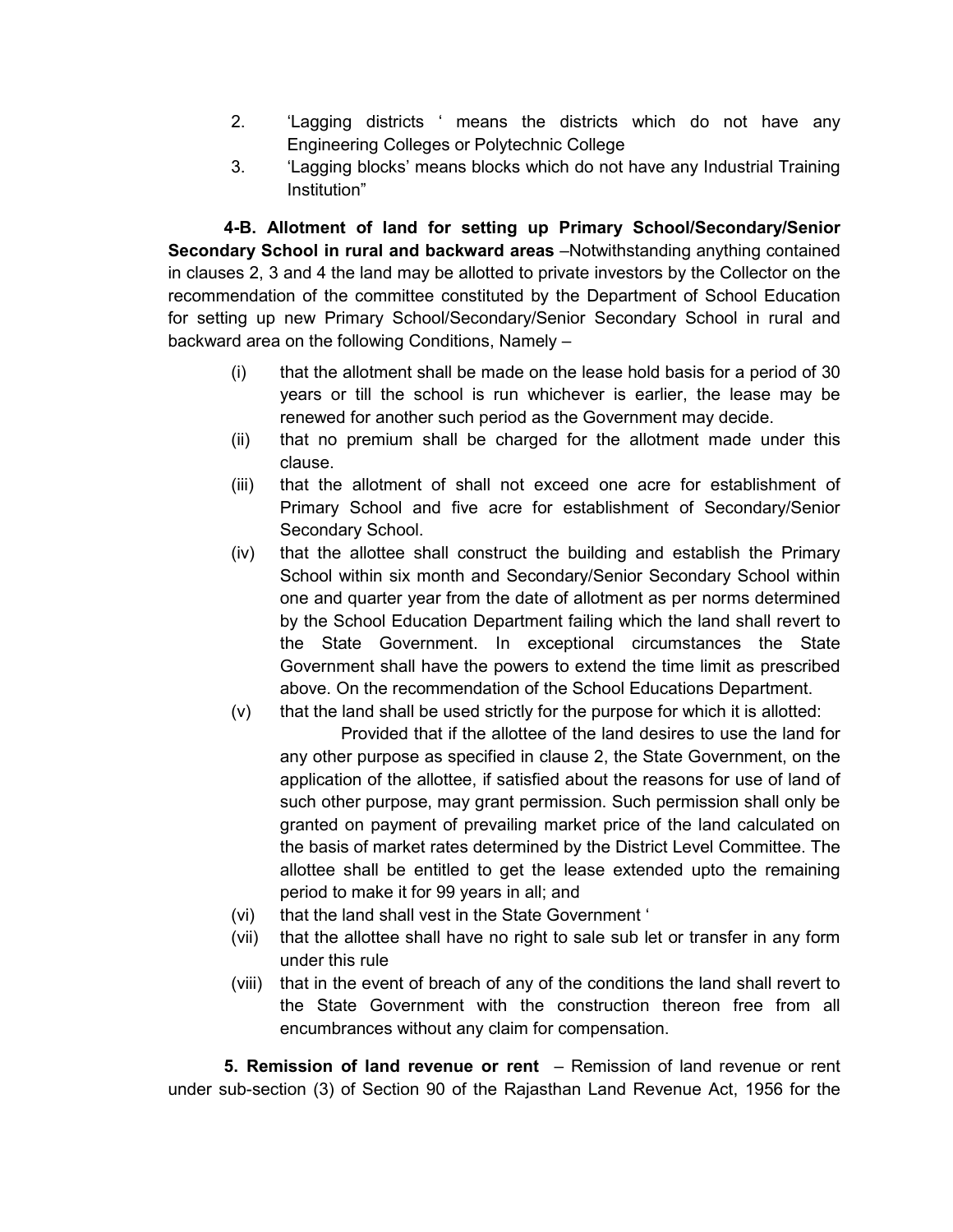- 2. 'Lagging districts ' means the districts which do not have any Engineering Colleges or Polytechnic College
- 3. 'Lagging blocks' means blocks which do not have any Industrial Training Institution"

**4-B. Allotment of land for setting up Primary School/Secondary/Senior Secondary School in rural and backward areas** –Notwithstanding anything contained in clauses 2, 3 and 4 the land may be allotted to private investors by the Collector on the recommendation of the committee constituted by the Department of School Education for setting up new Primary School/Secondary/Senior Secondary School in rural and backward area on the following Conditions, Namely –

- (i) that the allotment shall be made on the lease hold basis for a period of 30 years or till the school is run whichever is earlier, the lease may be renewed for another such period as the Government may decide.
- (ii) that no premium shall be charged for the allotment made under this clause.
- (iii) that the allotment of shall not exceed one acre for establishment of Primary School and five acre for establishment of Secondary/Senior Secondary School.
- (iv) that the allottee shall construct the building and establish the Primary School within six month and Secondary/Senior Secondary School within one and quarter year from the date of allotment as per norms determined by the School Education Department failing which the land shall revert to the State Government. In exceptional circumstances the State Government shall have the powers to extend the time limit as prescribed above. On the recommendation of the School Educations Department.
- (v) that the land shall be used strictly for the purpose for which it is allotted: Provided that if the allottee of the land desires to use the land for any other purpose as specified in clause 2, the State Government, on the application of the allottee, if satisfied about the reasons for use of land of such other purpose, may grant permission. Such permission shall only be granted on payment of prevailing market price of the land calculated on the basis of market rates determined by the District Level Committee. The allottee shall be entitled to get the lease extended upto the remaining period to make it for 99 years in all; and
- (vi) that the land shall vest in the State Government '
- (vii) that the allottee shall have no right to sale sub let or transfer in any form under this rule
- (viii) that in the event of breach of any of the conditions the land shall revert to the State Government with the construction thereon free from all encumbrances without any claim for compensation.

 **5. Remission of land revenue or rent** – Remission of land revenue or rent under sub-section (3) of Section 90 of the Rajasthan Land Revenue Act, 1956 for the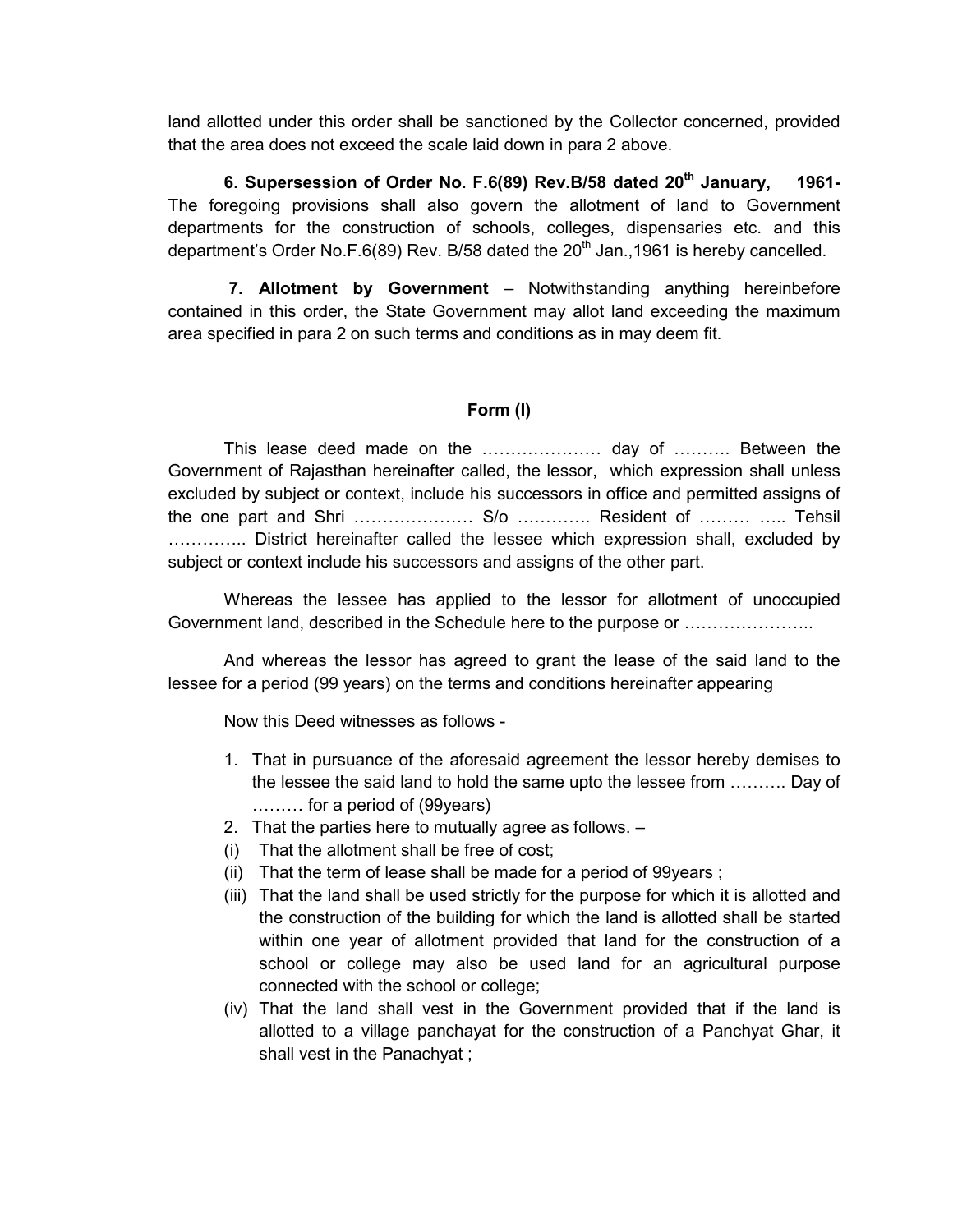land allotted under this order shall be sanctioned by the Collector concerned, provided that the area does not exceed the scale laid down in para 2 above.

**6. Supersession of Order No. F.6(89) Rev.B/58 dated 20th January, 1961-**  The foregoing provisions shall also govern the allotment of land to Government departments for the construction of schools, colleges, dispensaries etc. and this department's Order No.F.6(89) Rev. B/58 dated the  $20<sup>th</sup>$  Jan.,1961 is hereby cancelled.

 **7. Allotment by Government** – Notwithstanding anything hereinbefore contained in this order, the State Government may allot land exceeding the maximum area specified in para 2 on such terms and conditions as in may deem fit.

## **Form (I)**

This lease deed made on the MMMMMMM day of MMM. Between the Government of Rajasthan hereinafter called, the lessor, which expression shall unless excluded by subject or context, include his successors in office and permitted assigns of the one part and Shri  $\ldots$   $\ldots$   $\ldots$   $\ldots$   $\ldots$  S/o  $\ldots$  Resident of  $\ldots$   $\ldots$   $\ldots$  Tehsil ............... District hereinafter called the lessee which expression shall, excluded by subject or context include his successors and assigns of the other part.

Whereas the lessee has applied to the lessor for allotment of unoccupied Government land, described in the Schedule here to the purpose or MMMMMMM..

And whereas the lessor has agreed to grant the lease of the said land to the lessee for a period (99 years) on the terms and conditions hereinafter appearing

Now this Deed witnesses as follows -

- 1. That in pursuance of the aforesaid agreement the lessor hereby demises to the lessee the said land to hold the same upto the lessee from .......... Day of  $\ldots$ ....... for a period of (99 years)
- 2. That the parties here to mutually agree as follows. –
- (i) That the allotment shall be free of cost;
- (ii) That the term of lease shall be made for a period of 99years ;
- (iii) That the land shall be used strictly for the purpose for which it is allotted and the construction of the building for which the land is allotted shall be started within one year of allotment provided that land for the construction of a school or college may also be used land for an agricultural purpose connected with the school or college;
- (iv) That the land shall vest in the Government provided that if the land is allotted to a village panchayat for the construction of a Panchyat Ghar, it shall vest in the Panachyat ;